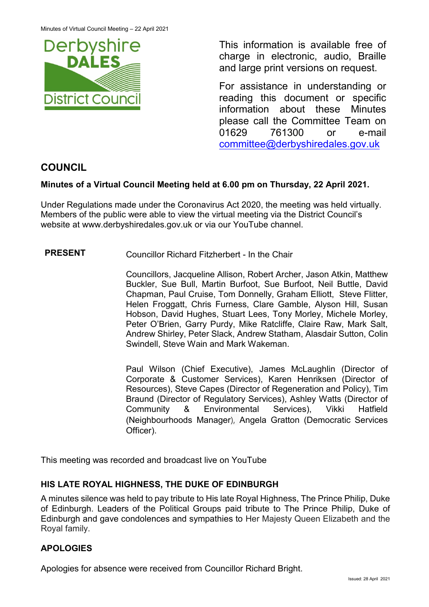

This information is available free of charge in electronic, audio, Braille and large print versions on request.

For assistance in understanding or reading this document or specific information about these Minutes please call the Committee Team on 01629 761300 or e-mail [committee@derbyshiredales.gov.uk](mailto:brian.evans@derbyshiredales.gov.uk) 

# **COUNCIL**

## **Minutes of a Virtual Council Meeting held at 6.00 pm on Thursday, 22 April 2021.**

Under Regulations made under the Coronavirus Act 2020, the meeting was held virtually. Members of the public were able to view the virtual meeting via the District Council's website at [www.derbyshiredales.gov.uk](http://www.derbyshiredales.gov.uk/) or via our YouTube channel.

## **PRESENT** Councillor Richard Fitzherbert - In the Chair

Councillors, Jacqueline Allison, Robert Archer, Jason Atkin, Matthew Buckler, Sue Bull, Martin Burfoot, Sue Burfoot, Neil Buttle, David Chapman, Paul Cruise, Tom Donnelly, Graham Elliott, Steve Flitter, Helen Froggatt, Chris Furness, Clare Gamble, Alyson Hill, Susan Hobson, David Hughes, Stuart Lees, Tony Morley, Michele Morley, Peter O'Brien, Garry Purdy, Mike Ratcliffe, Claire Raw, Mark Salt, Andrew Shirley, Peter Slack, Andrew Statham, Alasdair Sutton, Colin Swindell, Steve Wain and Mark Wakeman.

Paul Wilson (Chief Executive), James McLaughlin (Director of Corporate & Customer Services), Karen Henriksen (Director of Resources), Steve Capes (Director of Regeneration and Policy), Tim Braund (Director of Regulatory Services), Ashley Watts (Director of Community & Environmental Services), Vikki Hatfield (Neighbourhoods Manager), Angela Gratton (Democratic Services Officer).

This meeting was recorded and broadcast live on YouTube

## **HIS LATE ROYAL HIGHNESS, THE DUKE OF EDINBURGH**

A minutes silence was held to pay tribute to His late Royal Highness, The Prince Philip, Duke of Edinburgh. Leaders of the Political Groups paid tribute to The Prince Philip, Duke of Edinburgh and gave condolences and sympathies to Her Majesty Queen Elizabeth and the Royal family.

## **APOLOGIES**

Apologies for absence were received from Councillor Richard Bright.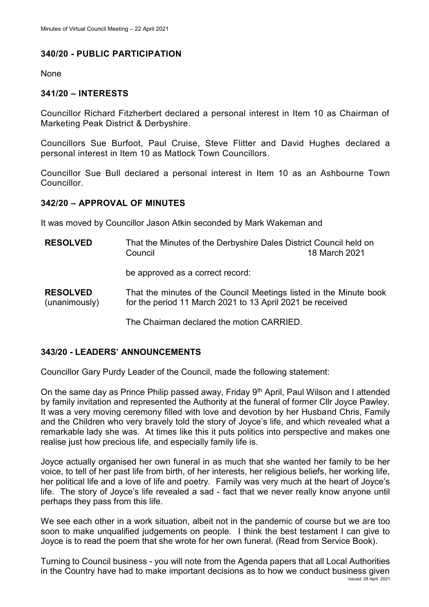## **340/20 - PUBLIC PARTICIPATION**

None

### **341/20 – INTERESTS**

Councillor Richard Fitzherbert declared a personal interest in Item 10 as Chairman of Marketing Peak District & Derbyshire.

Councillors Sue Burfoot, Paul Cruise, Steve Flitter and David Hughes declared a personal interest in Item 10 as Matlock Town Councillors.

Councillor Sue Bull declared a personal interest in Item 10 as an Ashbourne Town **Councillor** 

#### **342/20 – APPROVAL OF MINUTES**

It was moved by Councillor Jason Atkin seconded by Mark Wakeman and

- **RESOLVED** That the Minutes of the Derbyshire Dales District Council held on Council 18 March 2021 be approved as a correct record:
- **RESOLVED** (unanimously) That the minutes of the Council Meetings listed in the Minute book for the period 11 March 2021 to 13 April 2021 be received

The Chairman declared the motion CARRIED.

## **343/20 - LEADERS' ANNOUNCEMENTS**

Councillor Gary Purdy Leader of the Council, made the following statement:

On the same day as Prince Philip passed away, Friday 9<sup>th</sup> April, Paul Wilson and I attended by family invitation and represented the Authority at the funeral of former Cllr Joyce Pawley. It was a very moving ceremony filled with love and devotion by her Husband Chris, Family and the Children who very bravely told the story of Joyce's life, and which revealed what a remarkable lady she was. At times like this it puts politics into perspective and makes one realise just how precious life, and especially family life is.

Joyce actually organised her own funeral in as much that she wanted her family to be her voice, to tell of her past life from birth, of her interests, her religious beliefs, her working life, her political life and a love of life and poetry. Family was very much at the heart of Joyce's life. The story of Joyce's life revealed a sad - fact that we never really know anyone until perhaps they pass from this life.

We see each other in a work situation, albeit not in the pandemic of course but we are too soon to make unqualified judgements on people. I think the best testament I can give to Joyce is to read the poem that she wrote for her own funeral. (Read from Service Book).

Issued: 28 April 2021 Turning to Council business - you will note from the Agenda papers that all Local Authorities in the Country have had to make important decisions as to how we conduct business given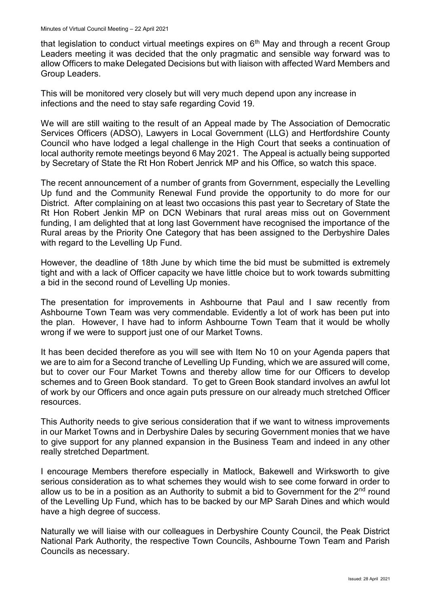that legislation to conduct virtual meetings expires on  $6<sup>th</sup>$  May and through a recent Group Leaders meeting it was decided that the only pragmatic and sensible way forward was to allow Officers to make Delegated Decisions but with liaison with affected Ward Members and Group Leaders.

This will be monitored very closely but will very much depend upon any increase in infections and the need to stay safe regarding Covid 19.

We will are still waiting to the result of an Appeal made by The Association of Democratic Services Officers (ADSO), Lawyers in Local Government (LLG) and Hertfordshire County Council who have lodged a legal challenge in the High Court that seeks a continuation of local authority remote meetings beyond 6 May 2021. The Appeal is actually being supported by Secretary of State the Rt Hon Robert Jenrick MP and his Office, so watch this space.

The recent announcement of a number of grants from Government, especially the Levelling Up fund and the Community Renewal Fund provide the opportunity to do more for our District. After complaining on at least two occasions this past year to Secretary of State the Rt Hon Robert Jenkin MP on DCN Webinars that rural areas miss out on Government funding, I am delighted that at long last Government have recognised the importance of the Rural areas by the Priority One Category that has been assigned to the Derbyshire Dales with regard to the Levelling Up Fund.

However, the deadline of 18th June by which time the bid must be submitted is extremely tight and with a lack of Officer capacity we have little choice but to work towards submitting a bid in the second round of Levelling Up monies.

The presentation for improvements in Ashbourne that Paul and I saw recently from Ashbourne Town Team was very commendable. Evidently a lot of work has been put into the plan. However, I have had to inform Ashbourne Town Team that it would be wholly wrong if we were to support just one of our Market Towns.

It has been decided therefore as you will see with Item No 10 on your Agenda papers that we are to aim for a Second tranche of Levelling Up Funding, which we are assured will come, but to cover our Four Market Towns and thereby allow time for our Officers to develop schemes and to Green Book standard. To get to Green Book standard involves an awful lot of work by our Officers and once again puts pressure on our already much stretched Officer resources.

This Authority needs to give serious consideration that if we want to witness improvements in our Market Towns and in Derbyshire Dales by securing Government monies that we have to give support for any planned expansion in the Business Team and indeed in any other really stretched Department.

I encourage Members therefore especially in Matlock, Bakewell and Wirksworth to give serious consideration as to what schemes they would wish to see come forward in order to allow us to be in a position as an Authority to submit a bid to Government for the  $2<sup>nd</sup>$  round of the Levelling Up Fund, which has to be backed by our MP Sarah Dines and which would have a high degree of success.

Naturally we will liaise with our colleagues in Derbyshire County Council, the Peak District National Park Authority, the respective Town Councils, Ashbourne Town Team and Parish Councils as necessary.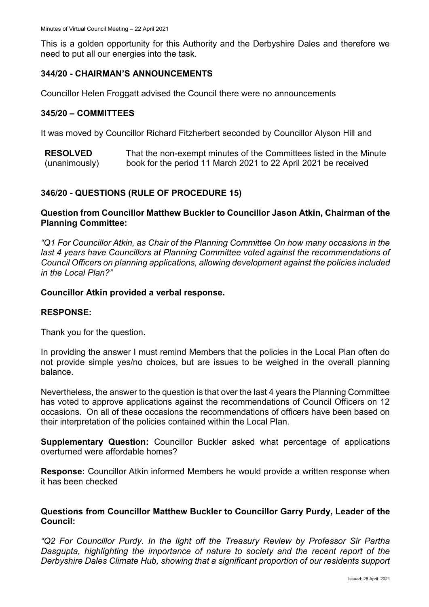This is a golden opportunity for this Authority and the Derbyshire Dales and therefore we need to put all our energies into the task.

### **344/20 - CHAIRMAN'S ANNOUNCEMENTS**

Councillor Helen Froggatt advised the Council there were no announcements

#### **345/20 – COMMITTEES**

It was moved by Councillor Richard Fitzherbert seconded by Councillor Alyson Hill and

**RESOLVED** (unanimously) That the non-exempt minutes of the Committees listed in the Minute book for the period 11 March 2021 to 22 April 2021 be received

## **346/20 - QUESTIONS (RULE OF PROCEDURE 15)**

#### **Question from Councillor Matthew Buckler to Councillor Jason Atkin, Chairman of the Planning Committee:**

*"Q1 For Councillor Atkin, as Chair of the Planning Committee On how many occasions in the*  last 4 years have Councillors at Planning Committee voted against the recommendations of *Council Officers on planning applications, allowing development against the policies included in the Local Plan?"*

#### **Councillor Atkin provided a verbal response.**

#### **RESPONSE:**

Thank you for the question.

In providing the answer I must remind Members that the policies in the Local Plan often do not provide simple yes/no choices, but are issues to be weighed in the overall planning balance.

Nevertheless, the answer to the question is that over the last 4 years the Planning Committee has voted to approve applications against the recommendations of Council Officers on 12 occasions. On all of these occasions the recommendations of officers have been based on their interpretation of the policies contained within the Local Plan.

**Supplementary Question:** Councillor Buckler asked what percentage of applications overturned were affordable homes?

**Response:** Councillor Atkin informed Members he would provide a written response when it has been checked

#### **Questions from Councillor Matthew Buckler to Councillor Garry Purdy, Leader of the Council:**

*"Q2 For Councillor Purdy. In the light off the Treasury Review by Professor Sir Partha Dasgupta, highlighting the importance of nature to society and the recent report of the Derbyshire Dales Climate Hub, showing that a significant proportion of our residents support*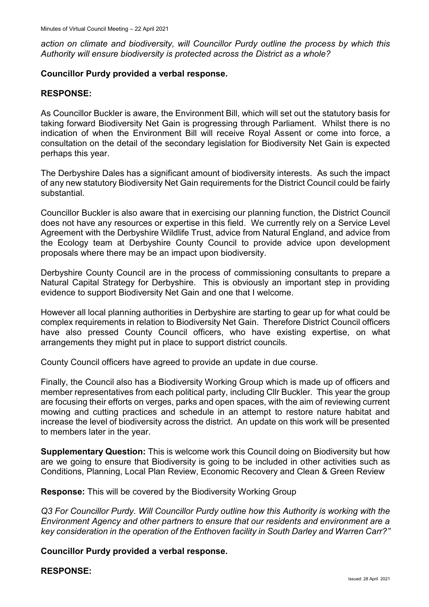*action on climate and biodiversity, will Councillor Purdy outline the process by which this Authority will ensure biodiversity is protected across the District as a whole?*

#### **Councillor Purdy provided a verbal response.**

#### **RESPONSE:**

As Councillor Buckler is aware, the Environment Bill, which will set out the statutory basis for taking forward Biodiversity Net Gain is progressing through Parliament. Whilst there is no indication of when the Environment Bill will receive Royal Assent or come into force, a consultation on the detail of the secondary legislation for Biodiversity Net Gain is expected perhaps this year.

The Derbyshire Dales has a significant amount of biodiversity interests. As such the impact of any new statutory Biodiversity Net Gain requirements for the District Council could be fairly substantial.

Councillor Buckler is also aware that in exercising our planning function, the District Council does not have any resources or expertise in this field. We currently rely on a Service Level Agreement with the Derbyshire Wildlife Trust, advice from Natural England, and advice from the Ecology team at Derbyshire County Council to provide advice upon development proposals where there may be an impact upon biodiversity.

Derbyshire County Council are in the process of commissioning consultants to prepare a Natural Capital Strategy for Derbyshire. This is obviously an important step in providing evidence to support Biodiversity Net Gain and one that I welcome.

However all local planning authorities in Derbyshire are starting to gear up for what could be complex requirements in relation to Biodiversity Net Gain. Therefore District Council officers have also pressed County Council officers, who have existing expertise, on what arrangements they might put in place to support district councils.

County Council officers have agreed to provide an update in due course.

Finally, the Council also has a Biodiversity Working Group which is made up of officers and member representatives from each political party, including Cllr Buckler. This year the group are focusing their efforts on verges, parks and open spaces, with the aim of reviewing current mowing and cutting practices and schedule in an attempt to restore nature habitat and increase the level of biodiversity across the district. An update on this work will be presented to members later in the year.

**Supplementary Question:** This is welcome work this Council doing on Biodiversity but how are we going to ensure that Biodiversity is going to be included in other activities such as Conditions, Planning, Local Plan Review, Economic Recovery and Clean & Green Review

**Response:** This will be covered by the Biodiversity Working Group

*Q3 For Councillor Purdy. Will Councillor Purdy outline how this Authority is working with the Environment Agency and other partners to ensure that our residents and environment are a key consideration in the operation of the Enthoven facility in South Darley and Warren Carr?"*

**Councillor Purdy provided a verbal response.**

#### **RESPONSE:**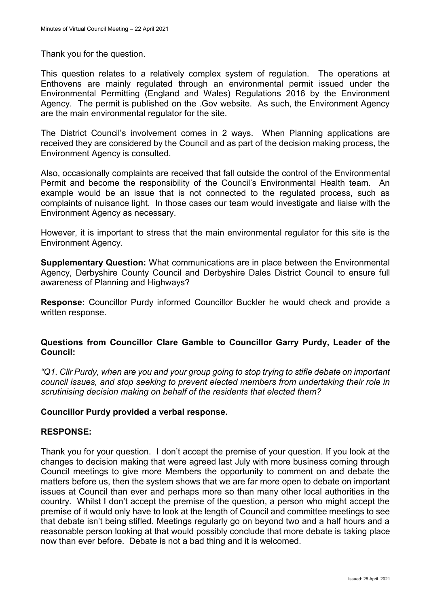Thank you for the question.

This question relates to a relatively complex system of regulation. The operations at Enthovens are mainly regulated through an environmental permit issued under the Environmental Permitting (England and Wales) Regulations 2016 by the Environment Agency. The permit is published on the .Gov website. As such, the Environment Agency are the main environmental regulator for the site.

The District Council's involvement comes in 2 ways. When Planning applications are received they are considered by the Council and as part of the decision making process, the Environment Agency is consulted.

Also, occasionally complaints are received that fall outside the control of the Environmental Permit and become the responsibility of the Council's Environmental Health team. An example would be an issue that is not connected to the regulated process, such as complaints of nuisance light. In those cases our team would investigate and liaise with the Environment Agency as necessary.

However, it is important to stress that the main environmental regulator for this site is the Environment Agency.

**Supplementary Question:** What communications are in place between the Environmental Agency, Derbyshire County Council and Derbyshire Dales District Council to ensure full awareness of Planning and Highways?

**Response:** Councillor Purdy informed Councillor Buckler he would check and provide a written response.

#### **Questions from Councillor Clare Gamble to Councillor Garry Purdy, Leader of the Council:**

*"Q1. Cllr Purdy, when are you and your group going to stop trying to stifle debate on important council issues, and stop seeking to prevent elected members from undertaking their role in scrutinising decision making on behalf of the residents that elected them?*

#### **Councillor Purdy provided a verbal response.**

#### **RESPONSE:**

Thank you for your question. I don't accept the premise of your question. If you look at the changes to decision making that were agreed last July with more business coming through Council meetings to give more Members the opportunity to comment on and debate the matters before us, then the system shows that we are far more open to debate on important issues at Council than ever and perhaps more so than many other local authorities in the country. Whilst I don't accept the premise of the question, a person who might accept the premise of it would only have to look at the length of Council and committee meetings to see that debate isn't being stifled. Meetings regularly go on beyond two and a half hours and a reasonable person looking at that would possibly conclude that more debate is taking place now than ever before. Debate is not a bad thing and it is welcomed.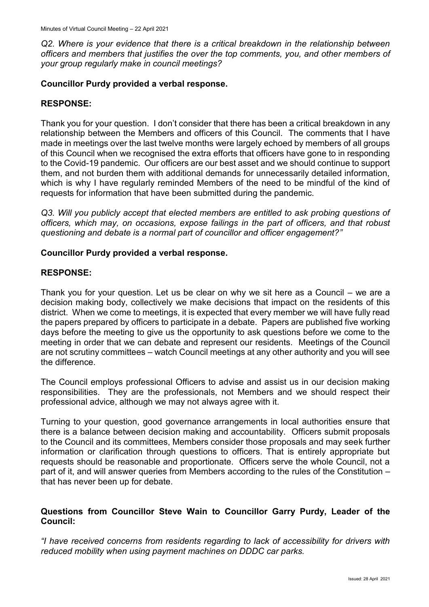*Q2. Where is your evidence that there is a critical breakdown in the relationship between officers and members that justifies the over the top comments, you, and other members of your group regularly make in council meetings?* 

## **Councillor Purdy provided a verbal response.**

## **RESPONSE:**

Thank you for your question. I don't consider that there has been a critical breakdown in any relationship between the Members and officers of this Council. The comments that I have made in meetings over the last twelve months were largely echoed by members of all groups of this Council when we recognised the extra efforts that officers have gone to in responding to the Covid-19 pandemic. Our officers are our best asset and we should continue to support them, and not burden them with additional demands for unnecessarily detailed information, which is why I have regularly reminded Members of the need to be mindful of the kind of requests for information that have been submitted during the pandemic.

*Q3. Will you publicly accept that elected members are entitled to ask probing questions of officers, which may, on occasions, expose failings in the part of officers, and that robust questioning and debate is a normal part of councillor and officer engagement?"*

#### **Councillor Purdy provided a verbal response.**

## **RESPONSE:**

Thank you for your question. Let us be clear on why we sit here as a Council – we are a decision making body, collectively we make decisions that impact on the residents of this district. When we come to meetings, it is expected that every member we will have fully read the papers prepared by officers to participate in a debate. Papers are published five working days before the meeting to give us the opportunity to ask questions before we come to the meeting in order that we can debate and represent our residents. Meetings of the Council are not scrutiny committees – watch Council meetings at any other authority and you will see the difference.

The Council employs professional Officers to advise and assist us in our decision making responsibilities. They are the professionals, not Members and we should respect their professional advice, although we may not always agree with it.

Turning to your question, good governance arrangements in local authorities ensure that there is a balance between decision making and accountability. Officers submit proposals to the Council and its committees, Members consider those proposals and may seek further information or clarification through questions to officers. That is entirely appropriate but requests should be reasonable and proportionate. Officers serve the whole Council, not a part of it, and will answer queries from Members according to the rules of the Constitution – that has never been up for debate.

## **Questions from Councillor Steve Wain to Councillor Garry Purdy, Leader of the Council:**

*"I have received concerns from residents regarding to lack of accessibility for drivers with reduced mobility when using payment machines on DDDC car parks.*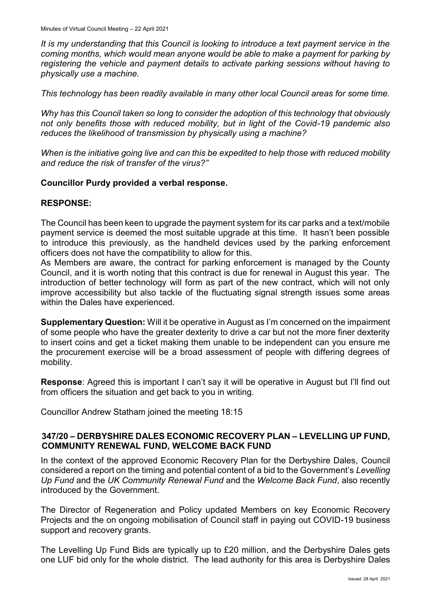*It is my understanding that this Council is looking to introduce a text payment service in the coming months, which would mean anyone would be able to make a payment for parking by registering the vehicle and payment details to activate parking sessions without having to physically use a machine.*

*This technology has been readily available in many other local Council areas for some time.*

*Why has this Council taken so long to consider the adoption of this technology that obviously not only benefits those with reduced mobility, but in light of the Covid-19 pandemic also reduces the likelihood of transmission by physically using a machine?*

*When is the initiative going live and can this be expedited to help those with reduced mobility and reduce the risk of transfer of the virus?"*

#### **Councillor Purdy provided a verbal response.**

#### **RESPONSE:**

The Council has been keen to upgrade the payment system for its car parks and a text/mobile payment service is deemed the most suitable upgrade at this time. It hasn't been possible to introduce this previously, as the handheld devices used by the parking enforcement officers does not have the compatibility to allow for this.

As Members are aware, the contract for parking enforcement is managed by the County Council, and it is worth noting that this contract is due for renewal in August this year. The introduction of better technology will form as part of the new contract, which will not only improve accessibility but also tackle of the fluctuating signal strength issues some areas within the Dales have experienced.

**Supplementary Question:** Will it be operative in August as I'm concerned on the impairment of some people who have the greater dexterity to drive a car but not the more finer dexterity to insert coins and get a ticket making them unable to be independent can you ensure me the procurement exercise will be a broad assessment of people with differing degrees of mobility.

**Response**: Agreed this is important I can't say it will be operative in August but I'll find out from officers the situation and get back to you in writing.

Councillor Andrew Statham joined the meeting 18:15

## **347/20 – DERBYSHIRE DALES ECONOMIC RECOVERY PLAN – LEVELLING UP FUND, COMMUNITY RENEWAL FUND, WELCOME BACK FUND**

In the context of the approved Economic Recovery Plan for the Derbyshire Dales, Council considered a report on the timing and potential content of a bid to the Government's *Levelling Up Fund* and the *UK Community Renewal Fund* and the *Welcome Back Fund*, also recently introduced by the Government.

The Director of Regeneration and Policy updated Members on key Economic Recovery Projects and the on ongoing mobilisation of Council staff in paying out COVID-19 business support and recovery grants.

The Levelling Up Fund Bids are typically up to £20 million, and the Derbyshire Dales gets one LUF bid only for the whole district. The lead authority for this area is Derbyshire Dales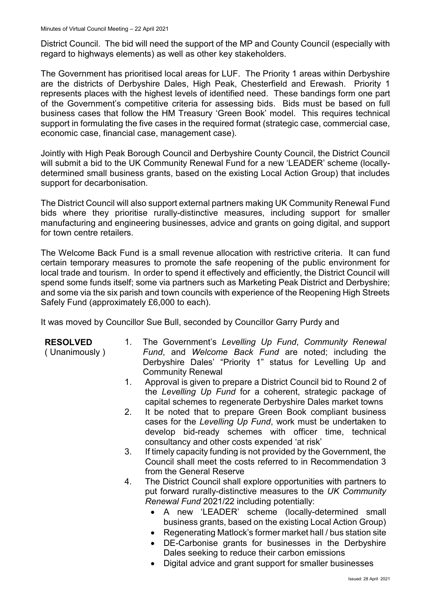District Council. The bid will need the support of the MP and County Council (especially with regard to highways elements) as well as other key stakeholders.

The Government has prioritised local areas for LUF. The Priority 1 areas within Derbyshire are the districts of Derbyshire Dales, High Peak, Chesterfield and Erewash. Priority 1 represents places with the highest levels of identified need. These bandings form one part of the Government's competitive criteria for assessing bids. Bids must be based on full business cases that follow the HM Treasury 'Green Book' model. This requires technical support in formulating the five cases in the required format (strategic case, commercial case, economic case, financial case, management case).

Jointly with High Peak Borough Council and Derbyshire County Council, the District Council will submit a bid to the UK Community Renewal Fund for a new 'LEADER' scheme (locallydetermined small business grants, based on the existing Local Action Group) that includes support for decarbonisation.

The District Council will also support external partners making UK Community Renewal Fund bids where they prioritise rurally-distinctive measures, including support for smaller manufacturing and engineering businesses, advice and grants on going digital, and support for town centre retailers.

The Welcome Back Fund is a small revenue allocation with restrictive criteria. It can fund certain temporary measures to promote the safe reopening of the public environment for local trade and tourism. In order to spend it effectively and efficiently, the District Council will spend some funds itself; some via partners such as Marketing Peak District and Derbyshire; and some via the six parish and town councils with experience of the Reopening High Streets Safely Fund (approximately £6,000 to each).

It was moved by Councillor Sue Bull, seconded by Councillor Garry Purdy and

**RESOLVED**

( Unanimously )

- 1. The Government's *Levelling Up Fund*, *Community Renewal Fund*, and *Welcome Back Fund* are noted; including the Derbyshire Dales' "Priority 1" status for Levelling Up and Community Renewal
- 1. Approval is given to prepare a District Council bid to Round 2 of the *Levelling Up Fund* for a coherent, strategic package of capital schemes to regenerate Derbyshire Dales market towns
- 2. It be noted that to prepare Green Book compliant business cases for the *Levelling Up Fund*, work must be undertaken to develop bid-ready schemes with officer time, technical consultancy and other costs expended 'at risk'
- 3. If timely capacity funding is not provided by the Government, the Council shall meet the costs referred to in Recommendation 3 from the General Reserve
- 4. The District Council shall explore opportunities with partners to put forward rurally-distinctive measures to the *UK Community Renewal Fund* 2021/22 including potentially:
	- A new 'LEADER' scheme (locally-determined small business grants, based on the existing Local Action Group)
	- Regenerating Matlock's former market hall / bus station site
	- DE-Carbonise grants for businesses in the Derbyshire Dales seeking to reduce their carbon emissions
	- Digital advice and grant support for smaller businesses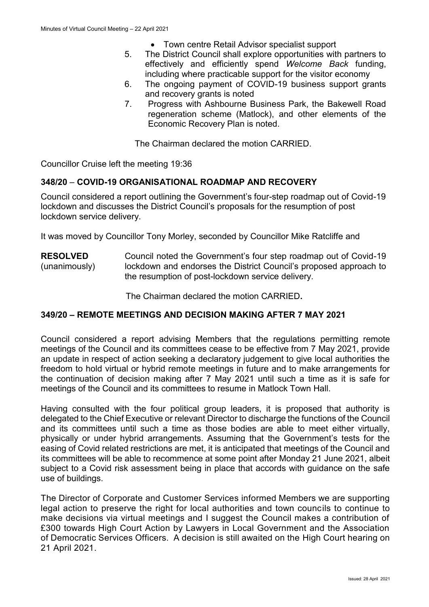- Town centre Retail Advisor specialist support
- 5. The District Council shall explore opportunities with partners to effectively and efficiently spend *Welcome Back* funding, including where practicable support for the visitor economy
- 6. The ongoing payment of COVID-19 business support grants and recovery grants is noted
- 7. Progress with Ashbourne Business Park, the Bakewell Road regeneration scheme (Matlock), and other elements of the Economic Recovery Plan is noted.

The Chairman declared the motion CARRIED.

Councillor Cruise left the meeting 19:36

## **348/20** – **COVID-19 ORGANISATIONAL ROADMAP AND RECOVERY**

Council considered a report outlining the Government's four-step roadmap out of Covid-19 lockdown and discusses the District Council's proposals for the resumption of post lockdown service delivery.

It was moved by Councillor Tony Morley, seconded by Councillor Mike Ratcliffe and

**RESOLVED** (unanimously) Council noted the Government's four step roadmap out of Covid-19 lockdown and endorses the District Council's proposed approach to the resumption of post-lockdown service delivery.

The Chairman declared the motion CARRIED**.**

#### **349/20 – REMOTE MEETINGS AND DECISION MAKING AFTER 7 MAY 2021**

Council considered a report advising Members that the regulations permitting remote meetings of the Council and its committees cease to be effective from 7 May 2021, provide an update in respect of action seeking a declaratory judgement to give local authorities the freedom to hold virtual or hybrid remote meetings in future and to make arrangements for the continuation of decision making after 7 May 2021 until such a time as it is safe for meetings of the Council and its committees to resume in Matlock Town Hall.

Having consulted with the four political group leaders, it is proposed that authority is delegated to the Chief Executive or relevant Director to discharge the functions of the Council and its committees until such a time as those bodies are able to meet either virtually, physically or under hybrid arrangements. Assuming that the Government's tests for the easing of Covid related restrictions are met, it is anticipated that meetings of the Council and its committees will be able to recommence at some point after Monday 21 June 2021, albeit subject to a Covid risk assessment being in place that accords with guidance on the safe use of buildings.

The Director of Corporate and Customer Services informed Members we are supporting legal action to preserve the right for local authorities and town councils to continue to make decisions via virtual meetings and I suggest the Council makes a contribution of £300 towards High Court Action by Lawyers in Local Government and the Association of Democratic Services Officers. A decision is still awaited on the High Court hearing on 21 April 2021.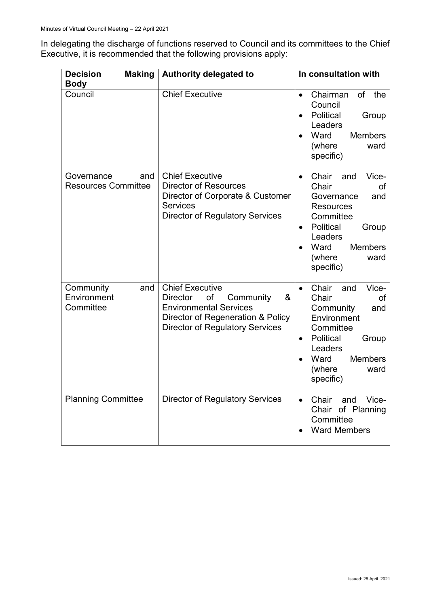In delegating the discharge of functions reserved to Council and its committees to the Chief Executive, it is recommended that the following provisions apply:

| <b>Decision</b><br><b>Making</b>                | <b>Authority delegated to</b>                                                                                                                                                     | In consultation with                                                                                                                                                                                                  |
|-------------------------------------------------|-----------------------------------------------------------------------------------------------------------------------------------------------------------------------------------|-----------------------------------------------------------------------------------------------------------------------------------------------------------------------------------------------------------------------|
| <b>Body</b><br>Council                          | <b>Chief Executive</b>                                                                                                                                                            | Chairman<br>of the<br>$\bullet$<br>Council<br>Political<br>Group<br>$\bullet$<br>Leaders<br>Ward<br><b>Members</b><br>(where<br>ward<br>specific)                                                                     |
| and<br>Governance<br><b>Resources Committee</b> | <b>Chief Executive</b><br><b>Director of Resources</b><br>Director of Corporate & Customer<br><b>Services</b><br><b>Director of Regulatory Services</b>                           | Chair<br>Vice-<br>and<br>$\bullet$<br>Chair<br>of<br>Governance<br>and<br><b>Resources</b><br>Committee<br>Political<br>Group<br>$\bullet$<br>Leaders<br>Ward<br><b>Members</b><br>(where<br>ward<br>specific)        |
| Community<br>and<br>Environment<br>Committee    | <b>Chief Executive</b><br>&<br>of<br>Community<br><b>Director</b><br><b>Environmental Services</b><br>Director of Regeneration & Policy<br><b>Director of Regulatory Services</b> | Vice-<br>Chair<br>and<br>$\bullet$<br>Chair<br>οf<br>Community<br>and<br>Environment<br>Committee<br>Political<br>Group<br>$\bullet$<br>Leaders<br>Ward<br><b>Members</b><br>$\bullet$<br>(where<br>ward<br>specific) |
| <b>Planning Committee</b>                       | <b>Director of Regulatory Services</b>                                                                                                                                            | Chair<br>Vice-<br>and<br>$\bullet$<br>Chair of Planning<br>Committee<br><b>Ward Members</b>                                                                                                                           |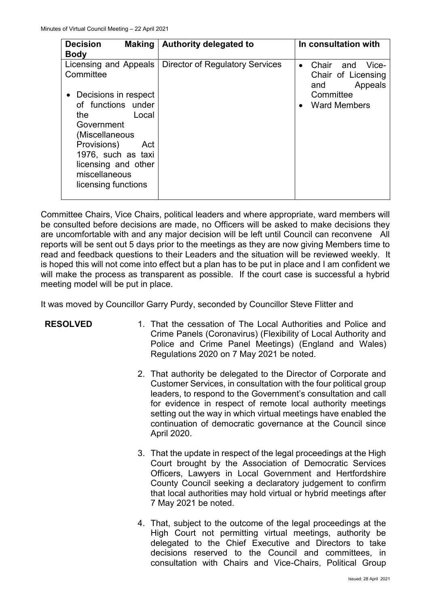| <b>Decision</b><br><b>Making</b><br><b>Body</b>                                                                                                        | <b>Authority delegated to</b>   | In consultation with                                                                    |
|--------------------------------------------------------------------------------------------------------------------------------------------------------|---------------------------------|-----------------------------------------------------------------------------------------|
| Licensing and Appeals<br>Committee<br>Decisions in respect                                                                                             | Director of Regulatory Services | Chair<br>and<br>Vice-<br>$\bullet$<br>Chair of Licensing<br>Appeals<br>and<br>Committee |
| of functions under<br>Local<br>the<br>Government<br>(Miscellaneous<br>Provisions)<br>Act<br>1976, such as taxi<br>licensing and other<br>miscellaneous |                                 | <b>Ward Members</b><br>$\bullet$                                                        |
| licensing functions                                                                                                                                    |                                 |                                                                                         |

Committee Chairs, Vice Chairs, political leaders and where appropriate, ward members will be consulted before decisions are made, no Officers will be asked to make decisions they are uncomfortable with and any major decision will be left until Council can reconvene All reports will be sent out 5 days prior to the meetings as they are now giving Members time to read and feedback questions to their Leaders and the situation will be reviewed weekly. It is hoped this will not come into effect but a plan has to be put in place and I am confident we will make the process as transparent as possible. If the court case is successful a hybrid meeting model will be put in place.

It was moved by Councillor Garry Purdy, seconded by Councillor Steve Flitter and

- **RESOLVED** 1. That the cessation of The Local Authorities and Police and Crime Panels (Coronavirus) (Flexibility of Local Authority and Police and Crime Panel Meetings) (England and Wales) Regulations 2020 on 7 May 2021 be noted.
	- 2. That authority be delegated to the Director of Corporate and Customer Services, in consultation with the four political group leaders, to respond to the Government's consultation and call for evidence in respect of remote local authority meetings setting out the way in which virtual meetings have enabled the continuation of democratic governance at the Council since April 2020.
	- 3. That the update in respect of the legal proceedings at the High Court brought by the Association of Democratic Services Officers, Lawyers in Local Government and Hertfordshire County Council seeking a declaratory judgement to confirm that local authorities may hold virtual or hybrid meetings after 7 May 2021 be noted.
	- 4. That, subject to the outcome of the legal proceedings at the High Court not permitting virtual meetings, authority be delegated to the Chief Executive and Directors to take decisions reserved to the Council and committees, in consultation with Chairs and Vice-Chairs, Political Group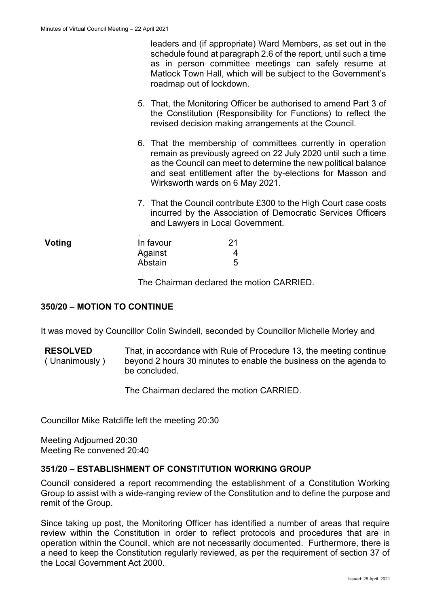leaders and (if appropriate) Ward Members, as set out in the schedule found at paragraph 2.6 of the report, until such a time as in person committee meetings can safely resume at Matlock Town Hall, which will be subject to the Government's roadmap out of lockdown.

- 5. That, the Monitoring Officer be authorised to amend Part 3 of the Constitution (Responsibility for Functions) to reflect the revised decision making arrangements at the Council.
- 6. That the membership of committees currently in operation remain as previously agreed on 22 July 2020 until such a time as the Council can meet to determine the new political balance and seat entitlement after the by-elections for Masson and Wirksworth wards on 6 May 2021.
- 7. That the Council contribute £300 to the High Court case costs incurred by the Association of Democratic Services Officers and Lawyers in Local Government.

| Voting | $\bullet$<br>In favour | 21 |
|--------|------------------------|----|
|        | Against                |    |
|        | Abstain                | 5  |

The Chairman declared the motion CARRIED.

### **350/20 – MOTION TO CONTINUE**

It was moved by Councillor Colin Swindell, seconded by Councillor Michelle Morley and

**RESOLVED** ( Unanimously ) That, in accordance with Rule of Procedure 13, the meeting continue beyond 2 hours 30 minutes to enable the business on the agenda to be concluded.

The Chairman declared the motion CARRIED.

Councillor Mike Ratcliffe left the meeting 20:30

Meeting Adjourned 20:30 Meeting Re convened 20:40

#### **351/20 – ESTABLISHMENT OF CONSTITUTION WORKING GROUP**

Council considered a report recommending the establishment of a Constitution Working Group to assist with a wide-ranging review of the Constitution and to define the purpose and remit of the Group.

Since taking up post, the Monitoring Officer has identified a number of areas that require review within the Constitution in order to reflect protocols and procedures that are in operation within the Council, which are not necessarily documented. Furthermore, there is a need to keep the Constitution regularly reviewed, as per the requirement of section 37 of the Local Government Act 2000.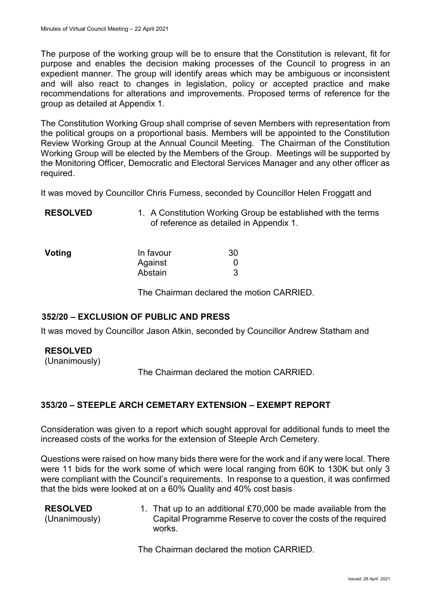The purpose of the working group will be to ensure that the Constitution is relevant, fit for purpose and enables the decision making processes of the Council to progress in an expedient manner. The group will identify areas which may be ambiguous or inconsistent and will also react to changes in legislation, policy or accepted practice and make recommendations for alterations and improvements. Proposed terms of reference for the group as detailed at Appendix 1.

The Constitution Working Group shall comprise of seven Members with representation from the political groups on a proportional basis. Members will be appointed to the Constitution Review Working Group at the Annual Council Meeting. The Chairman of the Constitution Working Group will be elected by the Members of the Group. Meetings will be supported by the Monitoring Officer, Democratic and Electoral Services Manager and any other officer as required.

It was moved by Councillor Chris Furness, seconded by Councillor Helen Froggatt and

| <b>RESOLVED</b> | 1. A Constitution Working Group be established with the terms |
|-----------------|---------------------------------------------------------------|
|                 | of reference as detailed in Appendix 1.                       |

| Voting | In favour | 30 |
|--------|-----------|----|
|        | Against   |    |
|        | Abstain   |    |

The Chairman declared the motion CARRIED.

## **352/20 – EXCLUSION OF PUBLIC AND PRESS**

It was moved by Councillor Jason Atkin, seconded by Councillor Andrew Statham and

## **RESOLVED**

(Unanimously)

The Chairman declared the motion CARRIED.

## **353/20 – STEEPLE ARCH CEMETARY EXTENSION – EXEMPT REPORT**

Consideration was given to a report which sought approval for additional funds to meet the increased costs of the works for the extension of Steeple Arch Cemetery.

Questions were raised on how many bids there were for the work and if any were local. There were 11 bids for the work some of which were local ranging from 60K to 130K but only 3 were compliant with the Council's requirements. In response to a question, it was confirmed that the bids were looked at on a 60% Quality and 40% cost basis

| <b>RESOLVED</b><br>(Unanimously) | 1. That up to an additional £70,000 be made available from the<br>Capital Programme Reserve to cover the costs of the required<br>works. |
|----------------------------------|------------------------------------------------------------------------------------------------------------------------------------------|
|                                  |                                                                                                                                          |

The Chairman declared the motion CARRIED.